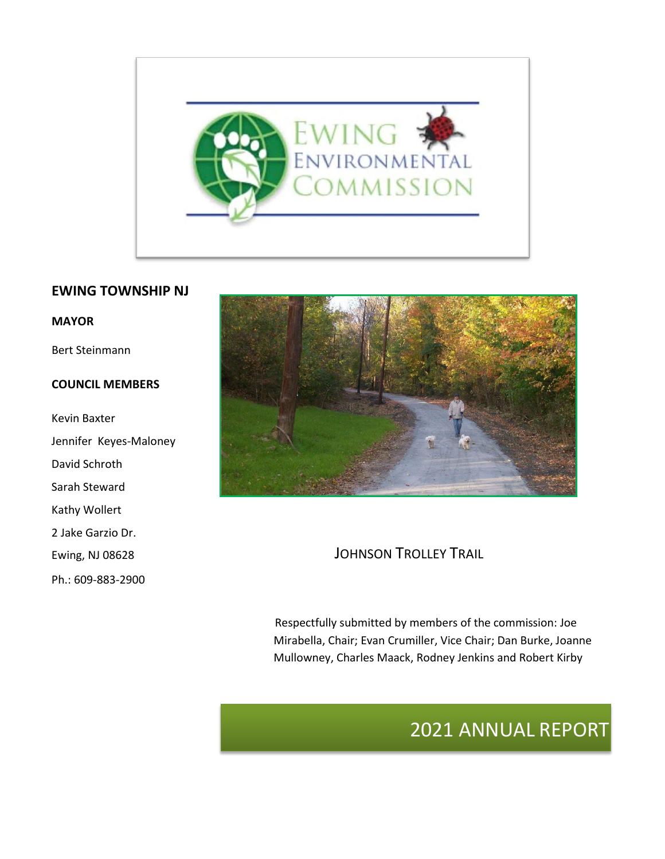

#### **EWING TOWNSHIP NJ**

#### **MAYOR**

Bert Steinmann

#### **COUNCIL MEMBERS**

Kevin Baxter Jennifer Keyes-Maloney David Schroth Sarah Steward Kathy Wollert 2 Jake Garzio Dr. Ewing, NJ 08628 Ph.: 609-883-2900



JOHNSON TROLLEY TRAIL

Respectfully submitted by members of the commission: Joe Mirabella, Chair; Evan Crumiller, Vice Chair; Dan Burke, Joanne Mullowney, Charles Maack, Rodney Jenkins and Robert Kirby

# 2021 ANNUAL REPORT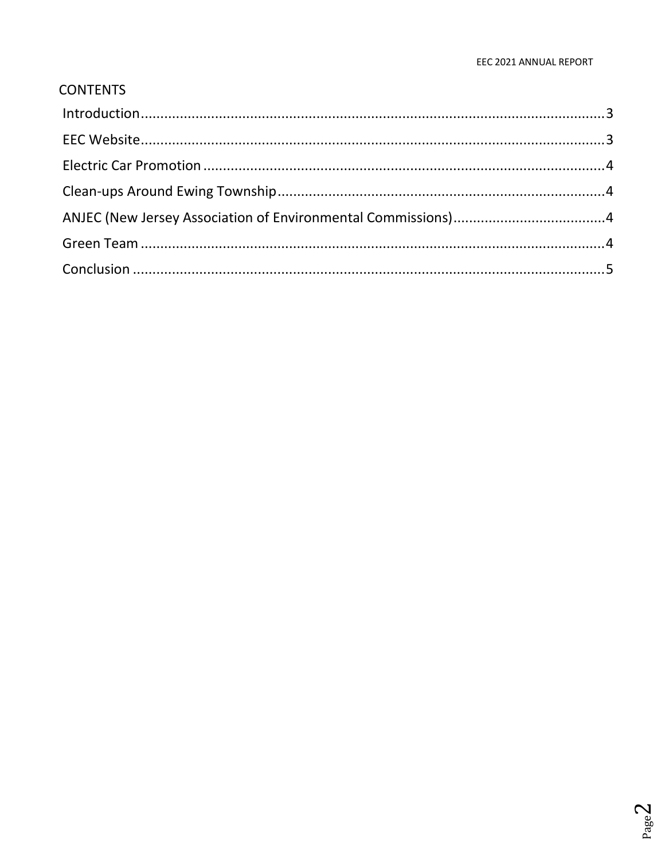### **CONTENTS**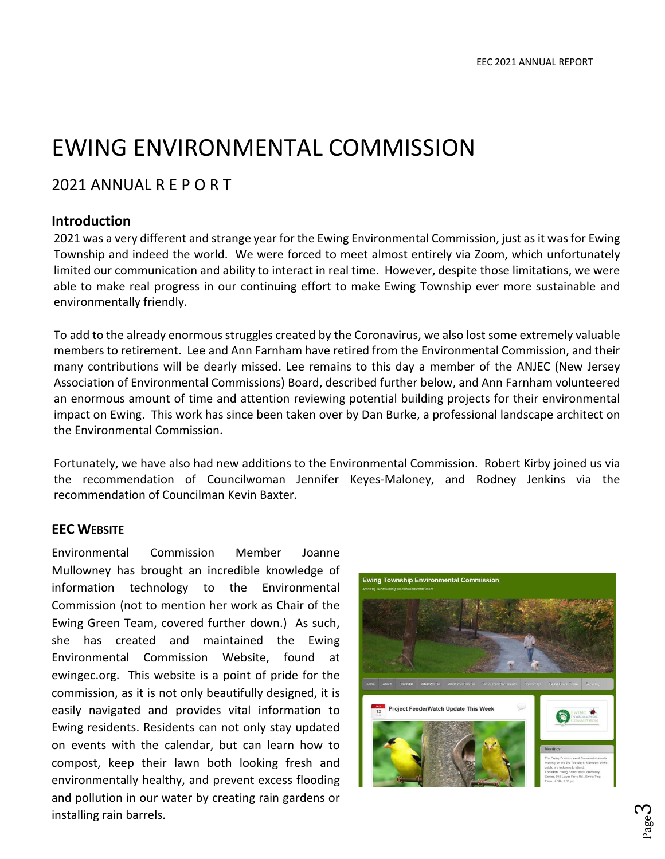# EWING ENVIRONMENTAL COMMISSION

## 2021 ANNUAL R E P O R T

#### <span id="page-2-0"></span>**Introduction**

2021 was a very different and strange year for the Ewing Environmental Commission, just as it was for Ewing Township and indeed the world. We were forced to meet almost entirely via Zoom, which unfortunately limited our communication and ability to interact in real time. However, despite those limitations, we were able to make real progress in our continuing effort to make Ewing Township ever more sustainable and environmentally friendly.

To add to the already enormous struggles created by the Coronavirus, we also lost some extremely valuable members to retirement. Lee and Ann Farnham have retired from the Environmental Commission, and their many contributions will be dearly missed. Lee remains to this day a member of the ANJEC (New Jersey Association of Environmental Commissions) Board, described further below, and Ann Farnham volunteered an enormous amount of time and attention reviewing potential building projects for their environmental impact on Ewing. This work has since been taken over by Dan Burke, a professional landscape architect on the Environmental Commission.

Fortunately, we have also had new additions to the Environmental Commission. Robert Kirby joined us via the recommendation of Councilwoman Jennifer Keyes-Maloney, and Rodney Jenkins via the recommendation of Councilman Kevin Baxter.

#### <span id="page-2-1"></span>**EEC WEBSITE**

Environmental Commission Member Joanne Mullowney has brought an incredible knowledge of information technology to the Environmental Commission (not to mention her work as Chair of the Ewing Green Team, covered further down.) As such, she has created and maintained the Ewing Environmental Commission Website, found at ewingec.org. This website is a point of pride for the commission, as it is not only beautifully designed, it is easily navigated and provides vital information to Ewing residents. Residents can not only stay updated on events with the calendar, but can learn how to compost, keep their lawn both looking fresh and environmentally healthy, and prevent excess flooding and pollution in our water by creating rain gardens or installing rain barrels.

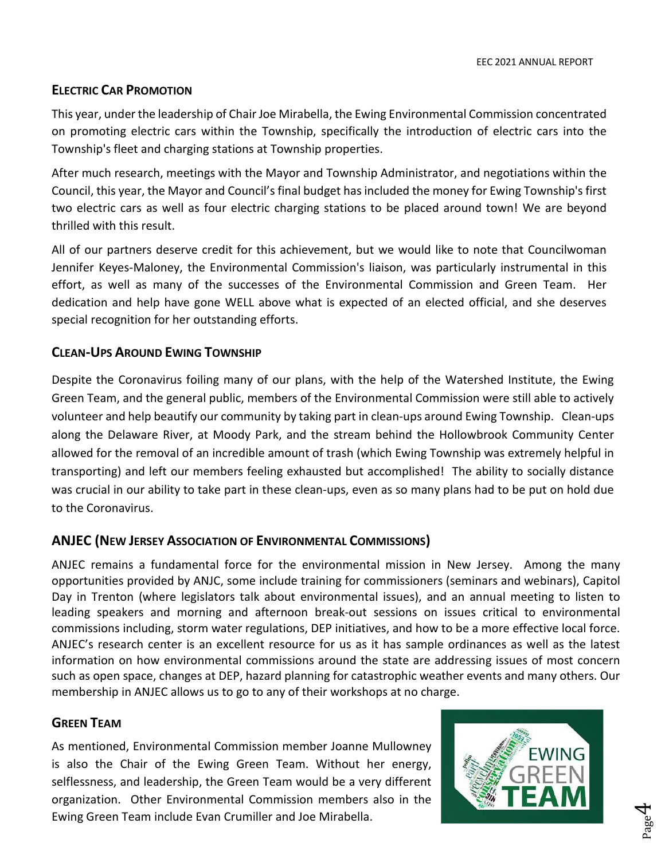#### <span id="page-3-0"></span>**ELECTRIC CAR PROMOTION**

This year, under the leadership of Chair Joe Mirabella, the Ewing Environmental Commission concentrated on promoting electric cars within the Township, specifically the introduction of electric cars into the Township's fleet and charging stations at Township properties.

After much research, meetings with the Mayor and Township Administrator, and negotiations within the Council, this year, the Mayor and Council's final budget has included the money for Ewing Township's first two electric cars as well as four electric charging stations to be placed around town! We are beyond thrilled with this result.

All of our partners deserve credit for this achievement, but we would like to note that Councilwoman Jennifer Keyes-Maloney, the Environmental Commission's liaison, was particularly instrumental in this effort, as well as many of the successes of the Environmental Commission and Green Team. Her dedication and help have gone WELL above what is expected of an elected official, and she deserves special recognition for her outstanding efforts.

#### <span id="page-3-1"></span>**CLEAN-UPS AROUND EWING TOWNSHIP**

Despite the Coronavirus foiling many of our plans, with the help of the Watershed Institute, the Ewing Green Team, and the general public, members of the Environmental Commission were still able to actively volunteer and help beautify our community by taking part in clean-ups around Ewing Township. Clean-ups along the Delaware River, at Moody Park, and the stream behind the Hollowbrook Community Center allowed for the removal of an incredible amount of trash (which Ewing Township was extremely helpful in transporting) and left our members feeling exhausted but accomplished! The ability to socially distance was crucial in our ability to take part in these clean-ups, even as so many plans had to be put on hold due to the Coronavirus.

#### <span id="page-3-2"></span>**ANJEC (NEW JERSEY ASSOCIATION OF ENVIRONMENTAL COMMISSIONS)**

ANJEC remains a fundamental force for the environmental mission in New Jersey. Among the many opportunities provided by ANJC, some include training for commissioners (seminars and webinars), Capitol Day in Trenton (where legislators talk about environmental issues), and an annual meeting to listen to leading speakers and morning and afternoon break-out sessions on issues critical to environmental commissions including, storm water regulations, DEP initiatives, and how to be a more effective local force. ANJEC's research center is an excellent resource for us as it has sample ordinances as well as the latest information on how environmental commissions around the state are addressing issues of most concern such as open space, changes at DEP, hazard planning for catastrophic weather events and many others. Our membership in ANJEC allows us to go to any of their workshops at no charge.

#### <span id="page-3-3"></span>**GREEN TEAM**

As mentioned, Environmental Commission member Joanne Mullowney is also the Chair of the Ewing Green Team. Without her energy, selflessness, and leadership, the Green Team would be a very different organization. Other Environmental Commission members also in the Ewing Green Team include Evan Crumiller and Joe Mirabella.



Page 4